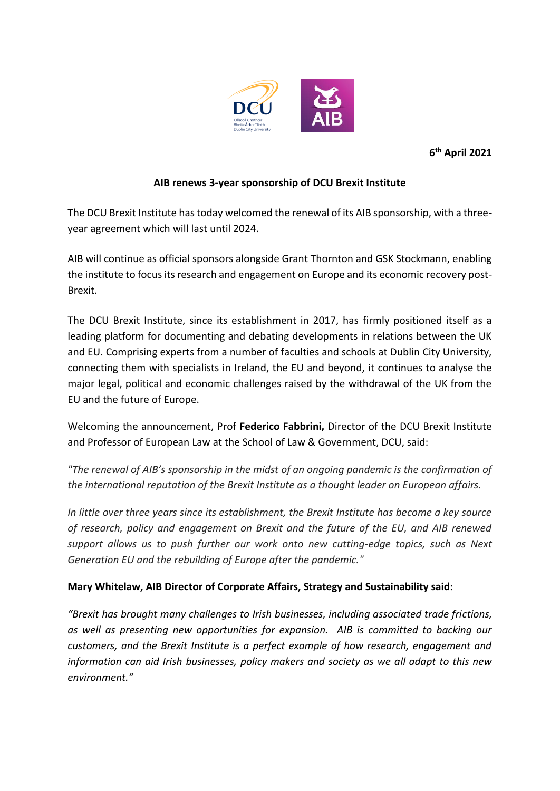

**6 th April 2021**

## **AIB renews 3-year sponsorship of DCU Brexit Institute**

The DCU Brexit Institute has today welcomed the renewal of its AIB sponsorship, with a threeyear agreement which will last until 2024.

AIB will continue as official sponsors alongside Grant Thornton and GSK Stockmann, enabling the institute to focus its research and engagement on Europe and its economic recovery post-Brexit.

The DCU Brexit Institute, since its establishment in 2017, has firmly positioned itself as a leading platform for documenting and debating developments in relations between the UK and EU. Comprising experts from a number of faculties and schools at Dublin City University, connecting them with specialists in Ireland, the EU and beyond, it continues to analyse the major legal, political and economic challenges raised by the withdrawal of the UK from the EU and the future of Europe.

Welcoming the announcement, Prof **Federico Fabbrini,** Director of the DCU Brexit Institute and Professor of European Law at the School of Law & Government, DCU, said:

*"The renewal of AIB's sponsorship in the midst of an ongoing pandemic is the confirmation of the international reputation of the Brexit Institute as a thought leader on European affairs.* 

*In little over three years since its establishment, the Brexit Institute has become a key source of research, policy and engagement on Brexit and the future of the EU, and AIB renewed support allows us to push further our work onto new cutting-edge topics, such as Next Generation EU and the rebuilding of Europe after the pandemic."*

## **Mary Whitelaw, AIB Director of Corporate Affairs, Strategy and Sustainability said:**

*"Brexit has brought many challenges to Irish businesses, including associated trade frictions, as well as presenting new opportunities for expansion. AIB is committed to backing our customers, and the Brexit Institute is a perfect example of how research, engagement and information can aid Irish businesses, policy makers and society as we all adapt to this new environment."*